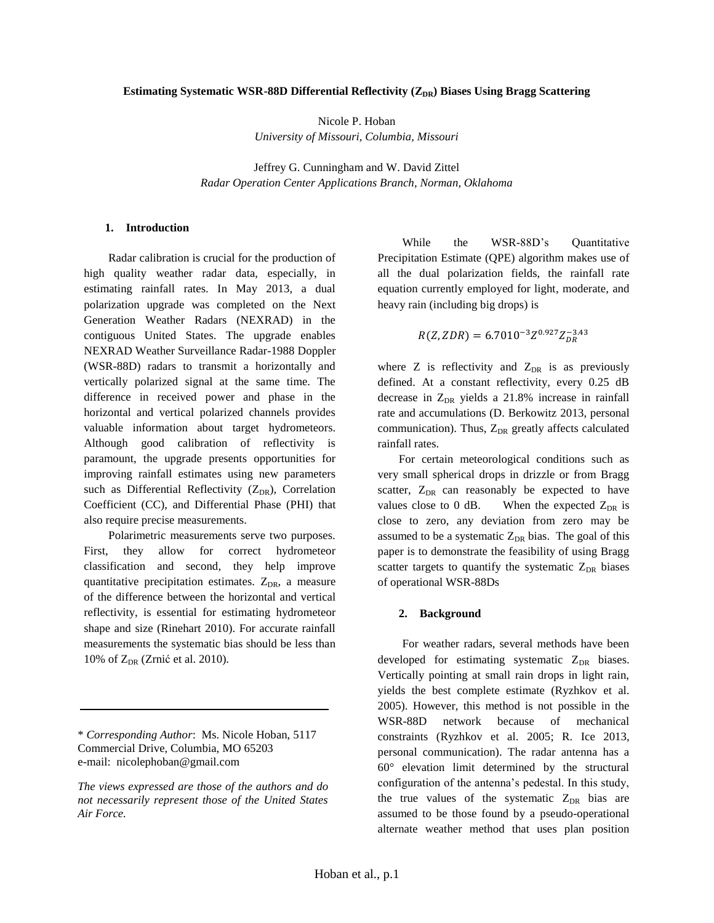#### **Estimating Systematic WSR-88D Differential Reflectivity (ZDR) Biases Using Bragg Scattering**

Nicole P. Hoban

*University of Missouri, Columbia, Missouri*

Jeffrey G. Cunningham and W. David Zittel *Radar Operation Center Applications Branch, Norman, Oklahoma*

#### **1. Introduction**

Radar calibration is crucial for the production of high quality weather radar data, especially, in estimating rainfall rates. In May 2013, a dual polarization upgrade was completed on the Next Generation Weather Radars (NEXRAD) in the contiguous United States. The upgrade enables NEXRAD Weather Surveillance Radar-1988 Doppler (WSR-88D) radars to transmit a horizontally and vertically polarized signal at the same time. The difference in received power and phase in the horizontal and vertical polarized channels provides valuable information about target hydrometeors. Although good calibration of reflectivity is paramount, the upgrade presents opportunities for improving rainfall estimates using new parameters such as Differential Reflectivity  $(Z_{DR})$ , Correlation Coefficient (CC), and Differential Phase (PHI) that also require precise measurements.

Polarimetric measurements serve two purposes. First, they allow for correct hydrometeor classification and second, they help improve quantitative precipitation estimates.  $Z_{DR}$ , a measure of the difference between the horizontal and vertical reflectivity, is essential for estimating hydrometeor shape and size (Rinehart 2010). For accurate rainfall measurements the systematic bias should be less than 10% of  $Z_{DR}$  (Zrnić et al. 2010).

While the WSR-88D's Quantitative Precipitation Estimate (QPE) algorithm makes use of all the dual polarization fields, the rainfall rate equation currently employed for light, moderate, and heavy rain (including big drops) is

$$
R(Z,ZDR) = 6.7010^{-3} Z^{0.927} Z_{DR}^{-3.43}
$$

where  $Z$  is reflectivity and  $Z_{DR}$  is as previously defined. At a constant reflectivity, every 0.25 dB decrease in  $Z_{DR}$  yields a 21.8% increase in rainfall rate and accumulations (D. Berkowitz 2013, personal communication). Thus,  $Z_{DR}$  greatly affects calculated rainfall rates.

For certain meteorological conditions such as very small spherical drops in drizzle or from Bragg scatter,  $Z_{DR}$  can reasonably be expected to have values close to 0 dB. When the expected  $Z_{DR}$  is close to zero, any deviation from zero may be assumed to be a systematic  $Z_{DR}$  bias. The goal of this paper is to demonstrate the feasibility of using Bragg scatter targets to quantify the systematic  $Z_{DR}$  biases of operational WSR-88Ds

#### **2. Background**

For weather radars, several methods have been developed for estimating systematic  $Z_{DR}$  biases. Vertically pointing at small rain drops in light rain, yields the best complete estimate (Ryzhkov et al. 2005). However, this method is not possible in the WSR-88D network because of mechanical constraints (Ryzhkov et al. 2005; R. Ice 2013, personal communication). The radar antenna has a 60° elevation limit determined by the structural configuration of the antenna's pedestal. In this study, the true values of the systematic  $Z_{DR}$  bias are assumed to be those found by a pseudo-operational alternate weather method that uses plan position

<sup>\*</sup> *Corresponding Author*: Ms. Nicole Hoban, 5117 Commercial Drive, Columbia, MO 65203 e-mail: nicolephoban@gmail.com

*The views expressed are those of the authors and do not necessarily represent those of the United States Air Force.*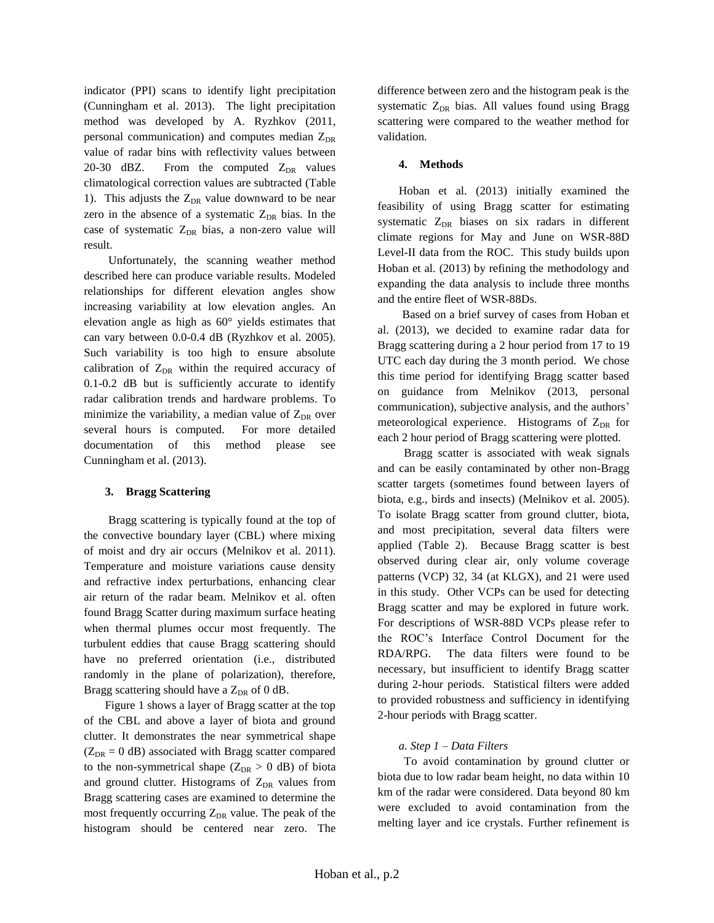indicator (PPI) scans to identify light precipitation (Cunningham et al. 2013). The light precipitation method was developed by A. Ryzhkov (2011, personal communication) and computes median  $Z_{DR}$ value of radar bins with reflectivity values between 20-30 dBZ. From the computed  $Z_{DR}$  values climatological correction values are subtracted (Table 1). This adjusts the  $Z_{DR}$  value downward to be near zero in the absence of a systematic  $Z_{DR}$  bias. In the case of systematic  $Z_{DR}$  bias, a non-zero value will result.

Unfortunately, the scanning weather method described here can produce variable results. Modeled relationships for different elevation angles show increasing variability at low elevation angles. An elevation angle as high as 60° yields estimates that can vary between 0.0-0.4 dB (Ryzhkov et al. 2005). Such variability is too high to ensure absolute calibration of  $Z_{DR}$  within the required accuracy of 0.1-0.2 dB but is sufficiently accurate to identify radar calibration trends and hardware problems. To minimize the variability, a median value of  $Z_{DR}$  over several hours is computed. For more detailed documentation of this method please see Cunningham et al. (2013).

# **3. Bragg Scattering**

Bragg scattering is typically found at the top of the convective boundary layer (CBL) where mixing of moist and dry air occurs (Melnikov et al. 2011). Temperature and moisture variations cause density and refractive index perturbations, enhancing clear air return of the radar beam. Melnikov et al. often found Bragg Scatter during maximum surface heating when thermal plumes occur most frequently. The turbulent eddies that cause Bragg scattering should have no preferred orientation (i.e., distributed randomly in the plane of polarization), therefore, Bragg scattering should have a  $Z_{DR}$  of 0 dB.

Figure 1 shows a layer of Bragg scatter at the top of the CBL and above a layer of biota and ground clutter. It demonstrates the near symmetrical shape  $(Z_{DR} = 0$  dB) associated with Bragg scatter compared to the non-symmetrical shape ( $Z_{DR} > 0$  dB) of biota and ground clutter. Histograms of  $Z_{DR}$  values from Bragg scattering cases are examined to determine the most frequently occurring  $Z_{DR}$  value. The peak of the histogram should be centered near zero. The difference between zero and the histogram peak is the systematic  $Z_{DR}$  bias. All values found using Bragg scattering were compared to the weather method for validation.

#### **4. Methods**

Hoban et al. (2013) initially examined the feasibility of using Bragg scatter for estimating systematic  $Z_{DR}$  biases on six radars in different climate regions for May and June on WSR-88D Level-II data from the ROC. This study builds upon Hoban et al. (2013) by refining the methodology and expanding the data analysis to include three months and the entire fleet of WSR-88Ds.

Based on a brief survey of cases from Hoban et al. (2013), we decided to examine radar data for Bragg scattering during a 2 hour period from 17 to 19 UTC each day during the 3 month period. We chose this time period for identifying Bragg scatter based on guidance from Melnikov (2013, personal communication), subjective analysis, and the authors' meteorological experience. Histograms of  $Z_{DR}$  for each 2 hour period of Bragg scattering were plotted.

Bragg scatter is associated with weak signals and can be easily contaminated by other non-Bragg scatter targets (sometimes found between layers of biota, e.g., birds and insects) (Melnikov et al. 2005). To isolate Bragg scatter from ground clutter, biota, and most precipitation, several data filters were applied (Table 2). Because Bragg scatter is best observed during clear air, only volume coverage patterns (VCP) 32, 34 (at KLGX), and 21 were used in this study. Other VCPs can be used for detecting Bragg scatter and may be explored in future work. For descriptions of WSR-88D VCPs please refer to the ROC's Interface Control Document for the RDA/RPG. The data filters were found to be necessary, but insufficient to identify Bragg scatter during 2-hour periods. Statistical filters were added to provided robustness and sufficiency in identifying 2-hour periods with Bragg scatter.

# *a. Step 1 – Data Filters*

To avoid contamination by ground clutter or biota due to low radar beam height, no data within 10 km of the radar were considered. Data beyond 80 km were excluded to avoid contamination from the melting layer and ice crystals. Further refinement is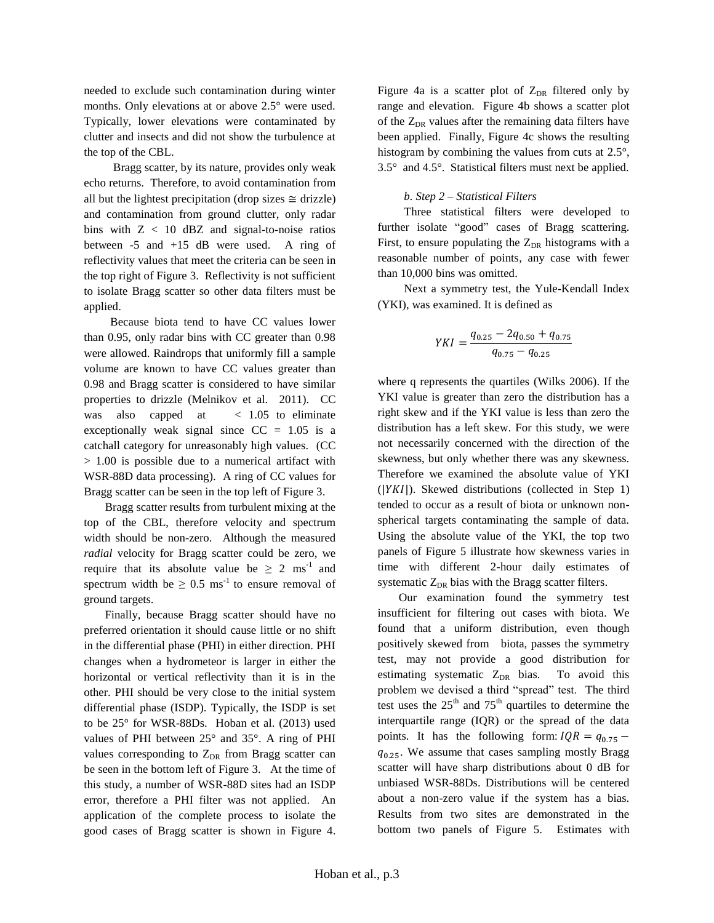needed to exclude such contamination during winter months. Only elevations at or above 2.5° were used. Typically, lower elevations were contaminated by clutter and insects and did not show the turbulence at the top of the CBL.

Bragg scatter, by its nature, provides only weak echo returns. Therefore, to avoid contamination from all but the lightest precipitation (drop sizes  $\cong$  drizzle) and contamination from ground clutter, only radar bins with  $Z < 10$  dBZ and signal-to-noise ratios between -5 and +15 dB were used. A ring of reflectivity values that meet the criteria can be seen in the top right of Figure 3. Reflectivity is not sufficient to isolate Bragg scatter so other data filters must be applied.

Because biota tend to have CC values lower than 0.95, only radar bins with CC greater than 0.98 were allowed. Raindrops that uniformly fill a sample volume are known to have CC values greater than 0.98 and Bragg scatter is considered to have similar properties to drizzle (Melnikov et al. 2011). CC was also capped at < 1.05 to eliminate exceptionally weak signal since  $CC = 1.05$  is a catchall category for unreasonably high values. (CC > 1.00 is possible due to a numerical artifact with WSR-88D data processing). A ring of CC values for Bragg scatter can be seen in the top left of Figure 3.

Bragg scatter results from turbulent mixing at the top of the CBL, therefore velocity and spectrum width should be non-zero. Although the measured *radial* velocity for Bragg scatter could be zero, we require that its absolute value be  $\geq 2$  ms<sup>-1</sup> and spectrum width be  $\geq 0.5$  ms<sup>-1</sup> to ensure removal of ground targets.

Finally, because Bragg scatter should have no preferred orientation it should cause little or no shift in the differential phase (PHI) in either direction. PHI changes when a hydrometeor is larger in either the horizontal or vertical reflectivity than it is in the other. PHI should be very close to the initial system differential phase (ISDP). Typically, the ISDP is set to be 25° for WSR-88Ds. Hoban et al. (2013) used values of PHI between 25° and 35°. A ring of PHI values corresponding to  $Z_{DR}$  from Bragg scatter can be seen in the bottom left of Figure 3. At the time of this study, a number of WSR-88D sites had an ISDP error, therefore a PHI filter was not applied. An application of the complete process to isolate the good cases of Bragg scatter is shown in Figure 4. Figure 4a is a scatter plot of  $Z_{DR}$  filtered only by range and elevation. Figure 4b shows a scatter plot of the  $Z_{DR}$  values after the remaining data filters have been applied. Finally, Figure 4c shows the resulting histogram by combining the values from cuts at 2.5°, 3.5° and 4.5°. Statistical filters must next be applied.

# *b. Step 2 – Statistical Filters*

Three statistical filters were developed to further isolate "good" cases of Bragg scattering. First, to ensure populating the  $Z_{DR}$  histograms with a reasonable number of points, any case with fewer than 10,000 bins was omitted.

Next a symmetry test, the Yule-Kendall Index (YKI), was examined. It is defined as

$$
YKI = \frac{q_{0.25} - 2q_{0.50} + q_{0.75}}{q_{0.75} - q_{0.25}}
$$

where q represents the quartiles (Wilks 2006). If the YKI value is greater than zero the distribution has a right skew and if the YKI value is less than zero the distribution has a left skew. For this study, we were not necessarily concerned with the direction of the skewness, but only whether there was any skewness. Therefore we examined the absolute value of YKI  $(|YKI|)$ . Skewed distributions (collected in Step 1) tended to occur as a result of biota or unknown nonspherical targets contaminating the sample of data. Using the absolute value of the YKI, the top two panels of Figure 5 illustrate how skewness varies in time with different 2-hour daily estimates of systematic  $Z_{DR}$  bias with the Bragg scatter filters.

Our examination found the symmetry test insufficient for filtering out cases with biota. We found that a uniform distribution, even though positively skewed from biota, passes the symmetry test, may not provide a good distribution for estimating systematic  $Z_{DR}$  bias. To avoid this problem we devised a third "spread" test. The third test uses the  $25<sup>th</sup>$  and  $75<sup>th</sup>$  quartiles to determine the interquartile range (IQR) or the spread of the data points. It has the following form:  $IQR = q_{0.75}$  –  $q_{0.25}$ . We assume that cases sampling mostly Bragg scatter will have sharp distributions about 0 dB for unbiased WSR-88Ds. Distributions will be centered about a non-zero value if the system has a bias. Results from two sites are demonstrated in the bottom two panels of Figure 5. Estimates with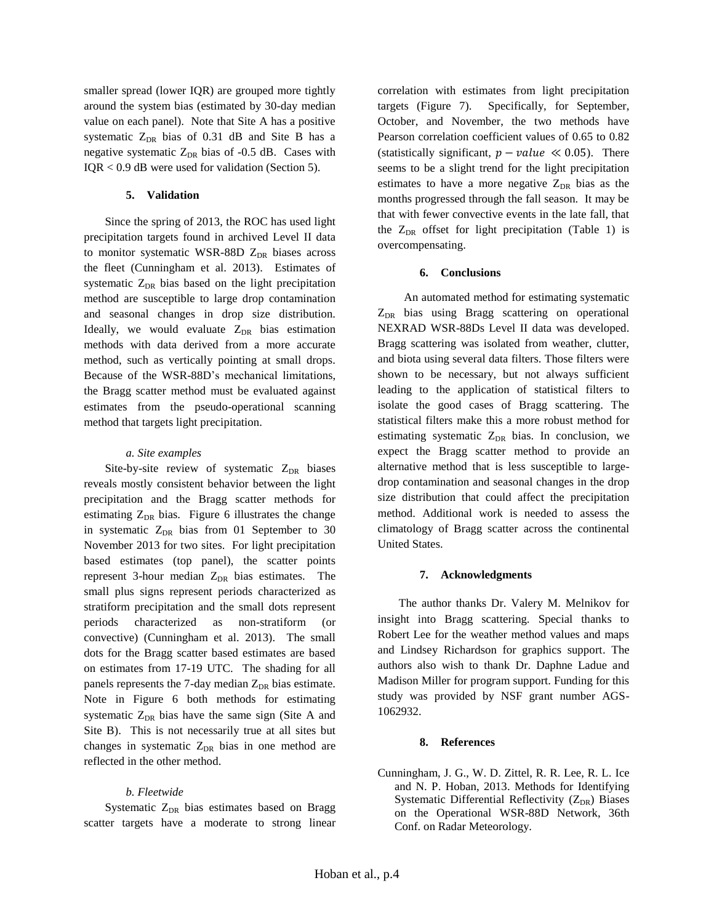smaller spread (lower IQR) are grouped more tightly around the system bias (estimated by 30-day median value on each panel). Note that Site A has a positive systematic  $Z_{DR}$  bias of 0.31 dB and Site B has a negative systematic  $Z_{DR}$  bias of -0.5 dB. Cases with IQR < 0.9 dB were used for validation (Section 5).

#### **5. Validation**

Since the spring of 2013, the ROC has used light precipitation targets found in archived Level II data to monitor systematic WSR-88D  $Z_{DR}$  biases across the fleet (Cunningham et al. 2013). Estimates of systematic  $Z_{DR}$  bias based on the light precipitation method are susceptible to large drop contamination and seasonal changes in drop size distribution. Ideally, we would evaluate  $Z_{DR}$  bias estimation methods with data derived from a more accurate method, such as vertically pointing at small drops. Because of the WSR-88D's mechanical limitations, the Bragg scatter method must be evaluated against estimates from the pseudo-operational scanning method that targets light precipitation.

#### *a. Site examples*

Site-by-site review of systematic  $Z_{DR}$  biases reveals mostly consistent behavior between the light precipitation and the Bragg scatter methods for estimating  $Z_{DR}$  bias. Figure 6 illustrates the change in systematic  $Z_{DR}$  bias from 01 September to 30 November 2013 for two sites. For light precipitation based estimates (top panel), the scatter points represent 3-hour median  $Z_{DR}$  bias estimates. The small plus signs represent periods characterized as stratiform precipitation and the small dots represent periods characterized as non-stratiform (or convective) (Cunningham et al. 2013). The small dots for the Bragg scatter based estimates are based on estimates from 17-19 UTC. The shading for all panels represents the 7-day median  $Z_{DR}$  bias estimate. Note in Figure 6 both methods for estimating systematic  $Z_{DR}$  bias have the same sign (Site A and Site B). This is not necessarily true at all sites but changes in systematic  $Z_{DR}$  bias in one method are reflected in the other method.

# *b. Fleetwide*

Systematic  $Z_{DR}$  bias estimates based on Bragg scatter targets have a moderate to strong linear correlation with estimates from light precipitation targets (Figure 7). Specifically, for September, October, and November, the two methods have Pearson correlation coefficient values of 0.65 to 0.82 (statistically significant,  $p-value \ll 0.05$ ). There seems to be a slight trend for the light precipitation estimates to have a more negative  $Z_{DR}$  bias as the months progressed through the fall season. It may be that with fewer convective events in the late fall, that the  $Z_{DR}$  offset for light precipitation (Table 1) is overcompensating.

# **6. Conclusions**

An automated method for estimating systematic  $Z_{DR}$  bias using Bragg scattering on operational NEXRAD WSR-88Ds Level II data was developed. Bragg scattering was isolated from weather, clutter, and biota using several data filters. Those filters were shown to be necessary, but not always sufficient leading to the application of statistical filters to isolate the good cases of Bragg scattering. The statistical filters make this a more robust method for estimating systematic  $Z_{DR}$  bias. In conclusion, we expect the Bragg scatter method to provide an alternative method that is less susceptible to largedrop contamination and seasonal changes in the drop size distribution that could affect the precipitation method. Additional work is needed to assess the climatology of Bragg scatter across the continental United States.

# **7. Acknowledgments**

The author thanks Dr. Valery M. Melnikov for insight into Bragg scattering. Special thanks to Robert Lee for the weather method values and maps and Lindsey Richardson for graphics support. The authors also wish to thank Dr. Daphne Ladue and Madison Miller for program support. Funding for this study was provided by NSF grant number AGS-1062932.

#### **8. References**

Cunningham, J. G., W. D. Zittel, R. R. Lee, R. L. Ice and N. P. Hoban, 2013. Methods for Identifying Systematic Differential Reflectivity  $(Z_{DR})$  Biases on the Operational WSR-88D Network, 36th Conf. on Radar Meteorology.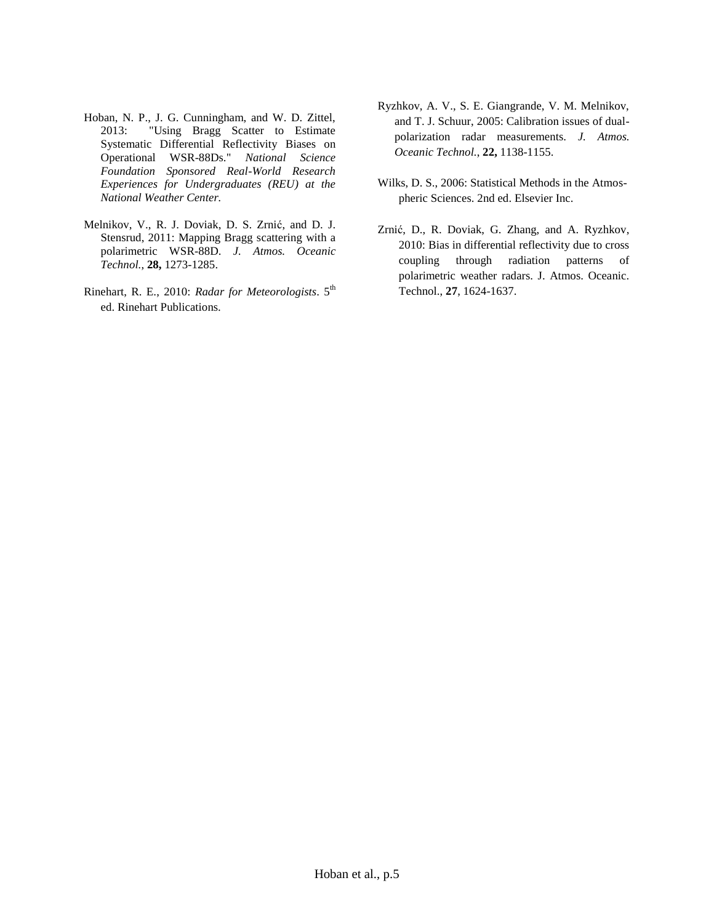- Hoban, N. P., J. G. Cunningham, and W. D. Zittel, 2013: "Using Bragg Scatter to Estimate Systematic Differential Reflectivity Biases on Operational WSR-88Ds." *National Science Foundation Sponsored Real-World Research Experiences for Undergraduates (REU) at the National Weather Center.*
- Melnikov, V., R. J. Doviak, D. S. Zrnić, and D. J. Stensrud, 2011: Mapping Bragg scattering with a polarimetric WSR-88D. *J. Atmos. Oceanic Technol.*, **28,** 1273-1285.
- Rinehart, R. E., 2010: *Radar for Meteorologists*. 5th ed. Rinehart Publications.
- Ryzhkov, A. V., S. E. Giangrande, V. M. Melnikov, and T. J. Schuur, 2005: Calibration issues of dualpolarization radar measurements. *J. Atmos. Oceanic Technol.*, **22,** 1138-1155.
- Wilks, D. S., 2006: Statistical Methods in the Atmospheric Sciences. 2nd ed. Elsevier Inc.
- Zrnić, D., R. Doviak, G. Zhang, and A. Ryzhkov, 2010: Bias in differential reflectivity due to cross coupling through radiation patterns of polarimetric weather radars. J. Atmos. Oceanic. Technol., **27**, 1624-1637.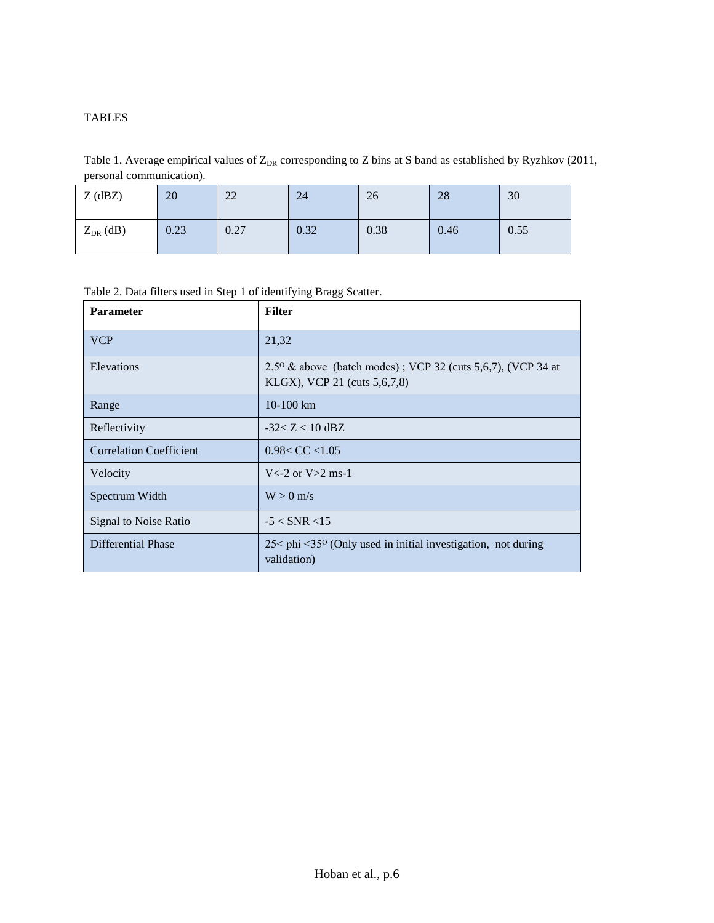# TABLES

Table 1. Average empirical values of  $Z_{DR}$  corresponding to Z bins at S band as established by Ryzhkov (2011, personal communication).

| $Z$ (dBZ)     | 20   | 22   | 24   | 26   | 28   | 30   |
|---------------|------|------|------|------|------|------|
| $Z_{DR}$ (dB) | 0.23 | 0.27 | 0.32 | 0.38 | 0.46 | 0.55 |

|  |  |  | Table 2. Data filters used in Step 1 of identifying Bragg Scatter. |  |
|--|--|--|--------------------------------------------------------------------|--|
|  |  |  |                                                                    |  |

| <b>Parameter</b>               | <b>Filter</b>                                                                                        |  |  |  |  |
|--------------------------------|------------------------------------------------------------------------------------------------------|--|--|--|--|
| <b>VCP</b>                     | 21,32                                                                                                |  |  |  |  |
| Elevations                     | $2.5^{\circ}$ & above (batch modes); VCP 32 (cuts 5,6,7), (VCP 34 at<br>KLGX), VCP 21 (cuts 5,6,7,8) |  |  |  |  |
| Range                          | $10-100$ km                                                                                          |  |  |  |  |
| Reflectivity                   | $-32 < Z < 10$ dBZ                                                                                   |  |  |  |  |
| <b>Correlation Coefficient</b> | $0.98<$ CC $<$ 1.05                                                                                  |  |  |  |  |
| Velocity                       | $V < -2$ or $V > 2$ ms-1                                                                             |  |  |  |  |
| Spectrum Width                 | $W > 0$ m/s                                                                                          |  |  |  |  |
| <b>Signal to Noise Ratio</b>   | $-5 < SNR < 15$                                                                                      |  |  |  |  |
| Differential Phase             | $25$ < phi < 35 $\degree$ (Only used in initial investigation, not during<br>validation)             |  |  |  |  |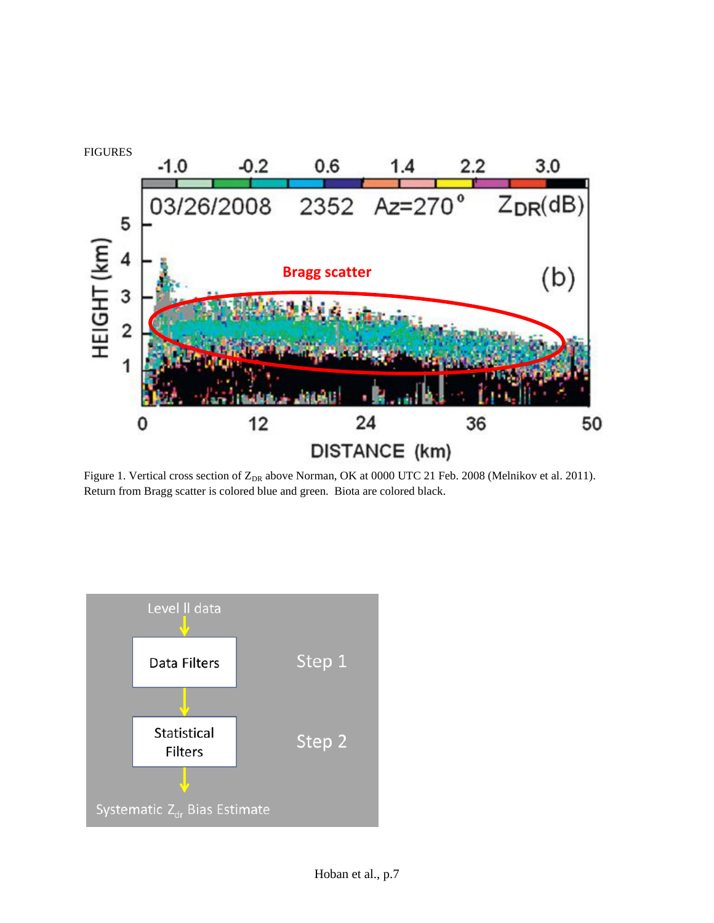

Figure 1. Vertical cross section of Z<sub>DR</sub> above Norman, OK at 0000 UTC 21 Feb. 2008 (Melnikov et al. 2011). Return from Bragg scatter is colored blue and green. Biota are colored black.

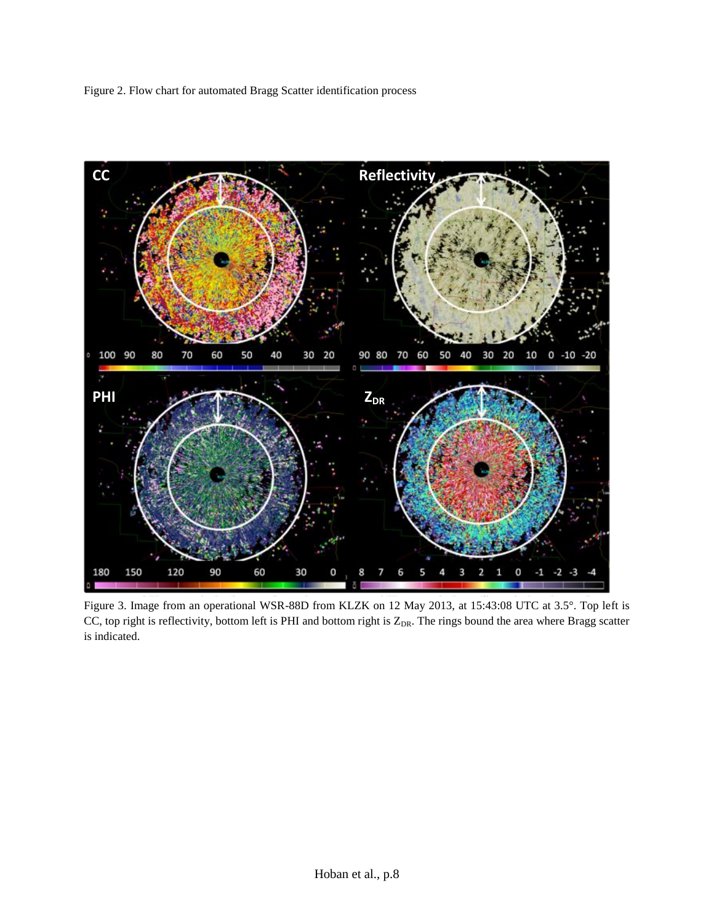

Figure 3. Image from an operational WSR-88D from KLZK on 12 May 2013, at 15:43:08 UTC at 3.5°. Top left is CC, top right is reflectivity, bottom left is PHI and bottom right is  $Z_{DR}$ . The rings bound the area where Bragg scatter is indicated.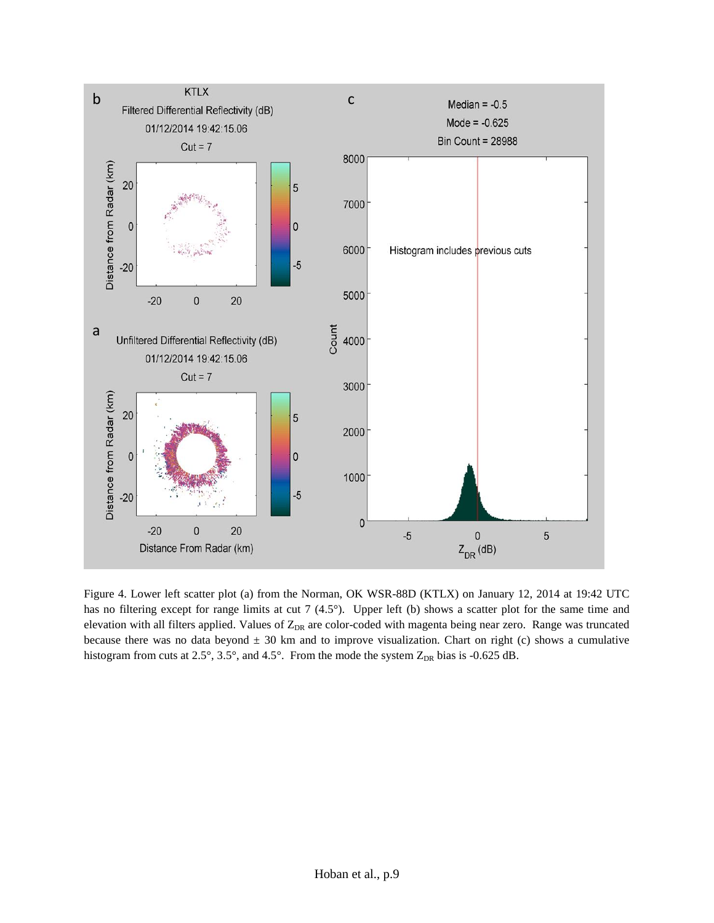

Figure 4. Lower left scatter plot (a) from the Norman, OK WSR-88D (KTLX) on January 12, 2014 at 19:42 UTC has no filtering except for range limits at cut 7 (4.5°). Upper left (b) shows a scatter plot for the same time and elevation with all filters applied. Values of  $Z_{DR}$  are color-coded with magenta being near zero. Range was truncated because there was no data beyond  $\pm$  30 km and to improve visualization. Chart on right (c) shows a cumulative histogram from cuts at  $2.5^{\circ}$ ,  $3.5^{\circ}$ , and  $4.5^{\circ}$ . From the mode the system  $Z_{DR}$  bias is -0.625 dB.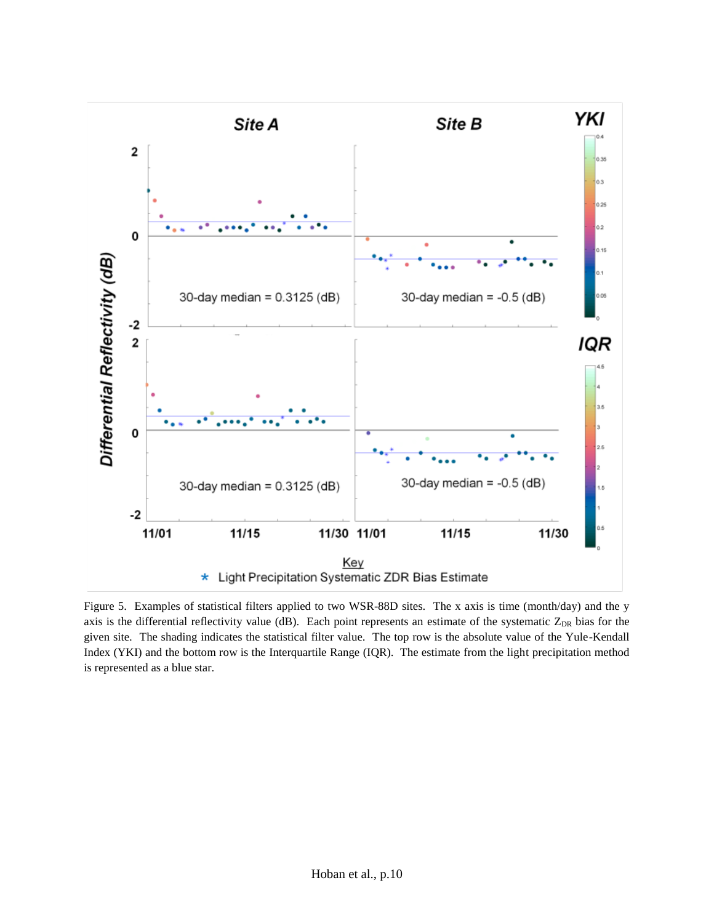

Figure 5. Examples of statistical filters applied to two WSR-88D sites. The x axis is time (month/day) and the y axis is the differential reflectivity value (dB). Each point represents an estimate of the systematic  $Z_{DR}$  bias for the given site. The shading indicates the statistical filter value. The top row is the absolute value of the Yule-Kendall Index (YKI) and the bottom row is the Interquartile Range (IQR). The estimate from the light precipitation method is represented as a blue star.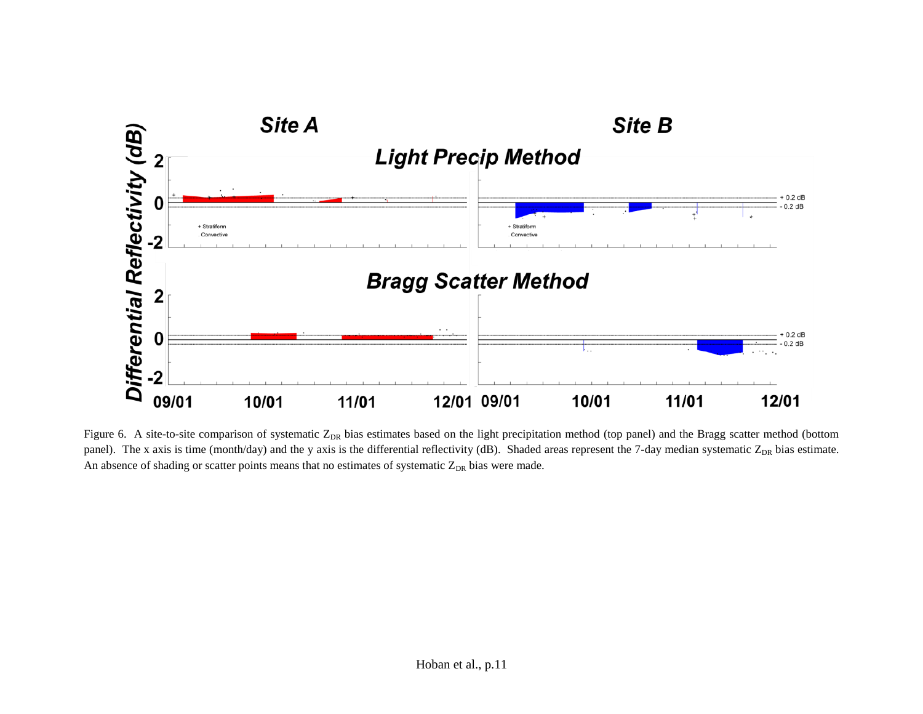

Figure 6. A site-to-site comparison of systematic  $Z_{DR}$  bias estimates based on the light precipitation method (top panel) and the Bragg scatter method (bottom panel). The x axis is time (month/day) and the y axis is the differential reflectivity (dB). Shaded areas represent the 7-day median systematic  $Z_{DR}$  bias estimate. An absence of shading or scatter points means that no estimates of systematic  $Z_{DR}$  bias were made.